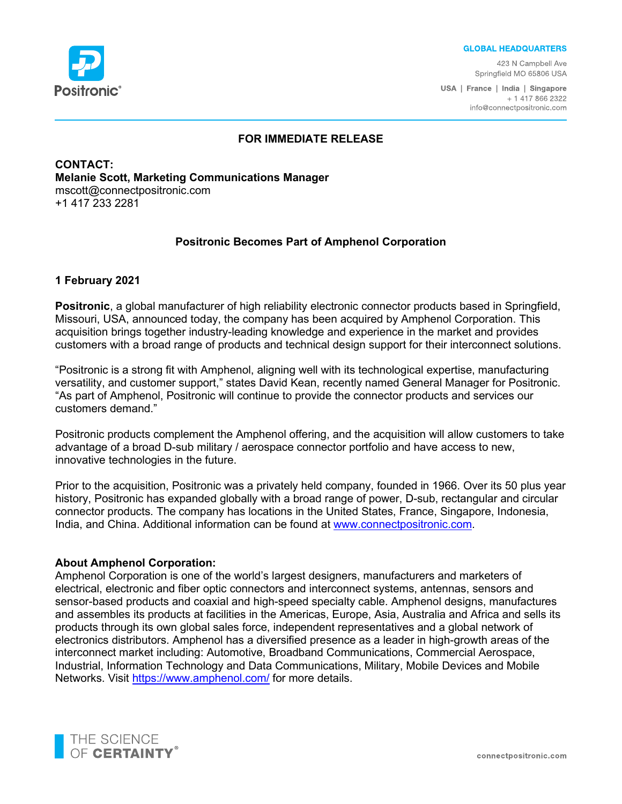

#### **GLOBAL HEADQUARTERS**

423 N Campbell Ave Springfield MO 65806 USA

USA | France | India | Singapore + 1 417 866 2322 info@connectpositronic.com

#### **FOR IMMEDIATE RELEASE**

**CONTACT: Melanie Scott, Marketing Communications Manager** mscott@connectpositronic.com +1 417 233 2281

## **Positronic Becomes Part of Amphenol Corporation**

## **1 February 2021**

**Positronic**, a global manufacturer of high reliability electronic connector products based in Springfield, Missouri, USA, announced today, the company has been acquired by Amphenol Corporation. This acquisition brings together industry-leading knowledge and experience in the market and provides customers with a broad range of products and technical design support for their interconnect solutions.

"Positronic is a strong fit with Amphenol, aligning well with its technological expertise, manufacturing versatility, and customer support," states David Kean, recently named General Manager for Positronic. "As part of Amphenol, Positronic will continue to provide the connector products and services our customers demand."

Positronic products complement the Amphenol offering, and the acquisition will allow customers to take advantage of a broad D-sub military / aerospace connector portfolio and have access to new, innovative technologies in the future.

Prior to the acquisition, Positronic was a privately held company, founded in 1966. Over its 50 plus year history, Positronic has expanded globally with a broad range of power, D-sub, rectangular and circular connector products. The company has locations in the United States, France, Singapore, Indonesia, India, and China. Additional information can be found at [www.connectpositronic.com.](http://www.connectpositronic.com/)

## **About Amphenol Corporation:**

Amphenol Corporation is one of the world's largest designers, manufacturers and marketers of electrical, electronic and fiber optic connectors and interconnect systems, antennas, sensors and sensor-based products and coaxial and high-speed specialty cable. Amphenol designs, manufactures and assembles its products at facilities in the Americas, Europe, Asia, Australia and Africa and sells its products through its own global sales force, independent representatives and a global network of electronics distributors. Amphenol has a diversified presence as a leader in high-growth areas of the interconnect market including: Automotive, Broadband Communications, Commercial Aerospace, Industrial, Information Technology and Data Communications, Military, Mobile Devices and Mobile Networks. Visit<https://www.amphenol.com/> for more details.